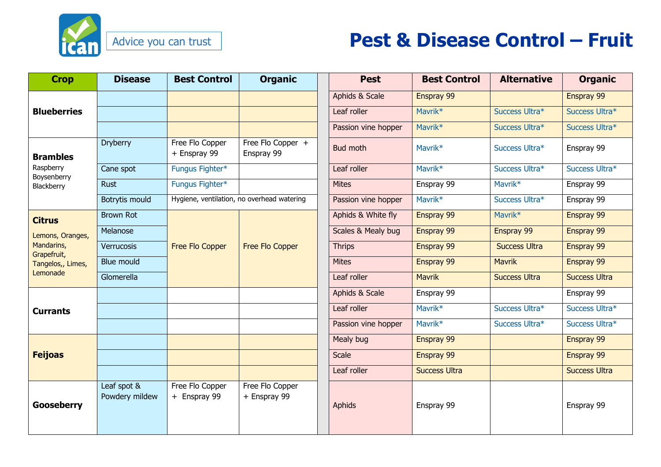

## **Pest & Disease Control – Fruit**

| <b>Crop</b>                                                                                     | <b>Disease</b>                | <b>Best Control</b>                        | <b>Organic</b>                  | <b>Pest</b>         | <b>Best Control</b>  | <b>Alternative</b>   | <b>Organic</b>       |
|-------------------------------------------------------------------------------------------------|-------------------------------|--------------------------------------------|---------------------------------|---------------------|----------------------|----------------------|----------------------|
| <b>Blueberries</b>                                                                              |                               |                                            |                                 | Aphids & Scale      | Enspray 99           |                      | Enspray 99           |
|                                                                                                 |                               |                                            |                                 | Leaf roller         | Mavrik*              | Success Ultra*       | Success Ultra*       |
|                                                                                                 |                               |                                            |                                 | Passion vine hopper | Mavrik <sup>*</sup>  | Success Ultra*       | Success Ultra*       |
| <b>Brambles</b><br>Raspberry<br>Boysenberry<br>Blackberry                                       | <b>Dryberry</b>               | Free Flo Copper<br>+ Enspray 99            | Free Flo Copper +<br>Enspray 99 | <b>Bud moth</b>     | Mavrik <sup>*</sup>  | Success Ultra*       | Enspray 99           |
|                                                                                                 | Cane spot                     | Fungus Fighter*                            |                                 | Leaf roller         | Mavrik <sup>*</sup>  | Success Ultra*       | Success Ultra*       |
|                                                                                                 | <b>Rust</b>                   | Fungus Fighter*                            |                                 | <b>Mites</b>        | Enspray 99           | Mavrik*              | Enspray 99           |
|                                                                                                 | Botrytis mould                | Hygiene, ventilation, no overhead watering |                                 | Passion vine hopper | Mavrik <sup>*</sup>  | Success Ultra*       | Enspray 99           |
| <b>Citrus</b><br>Lemons, Oranges,<br>Mandarins,<br>Grapefruit,<br>Tangelos,, Limes,<br>Lemonade | <b>Brown Rot</b>              | Free Flo Copper                            | Free Flo Copper                 | Aphids & White fly  | Enspray 99           | Mavrik*              | Enspray 99           |
|                                                                                                 | Melanose                      |                                            |                                 | Scales & Mealy bug  | Enspray 99           | Enspray 99           | Enspray 99           |
|                                                                                                 | Verrucosis                    |                                            |                                 | <b>Thrips</b>       | Enspray 99           | <b>Success Ultra</b> | Enspray 99           |
|                                                                                                 | Blue mould                    |                                            |                                 | <b>Mites</b>        | Enspray 99           | <b>Mavrik</b>        | Enspray 99           |
|                                                                                                 | Glomerella                    |                                            |                                 | Leaf roller         | <b>Mavrik</b>        | <b>Success Ultra</b> | <b>Success Ultra</b> |
| <b>Currants</b>                                                                                 |                               |                                            |                                 | Aphids & Scale      | Enspray 99           |                      | Enspray 99           |
|                                                                                                 |                               |                                            |                                 | Leaf roller         | Mavrik <sup>*</sup>  | Success Ultra*       | Success Ultra*       |
|                                                                                                 |                               |                                            |                                 | Passion vine hopper | Mavrik*              | Success Ultra*       | Success Ultra*       |
| <b>Feijoas</b>                                                                                  |                               |                                            |                                 | Mealy bug           | Enspray 99           |                      | Enspray 99           |
|                                                                                                 |                               |                                            |                                 | <b>Scale</b>        | Enspray 99           |                      | Enspray 99           |
|                                                                                                 |                               |                                            |                                 | Leaf roller         | <b>Success Ultra</b> |                      | <b>Success Ultra</b> |
| <b>Gooseberry</b>                                                                               | Leaf spot &<br>Powdery mildew | Free Flo Copper<br>+ Enspray 99            | Free Flo Copper<br>+ Enspray 99 | Aphids              | Enspray 99           |                      | Enspray 99           |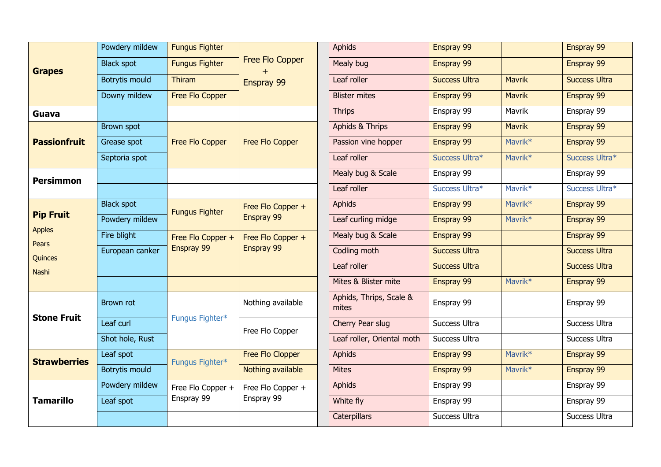| <b>Grapes</b>                                                  | Powdery mildew        | <b>Fungus Fighter</b>           | Free Flo Copper<br>Enspray 99   | <b>Aphids</b>                    | Enspray 99           |                     | Enspray 99           |
|----------------------------------------------------------------|-----------------------|---------------------------------|---------------------------------|----------------------------------|----------------------|---------------------|----------------------|
|                                                                | <b>Black spot</b>     | <b>Fungus Fighter</b>           |                                 | Mealy bug                        | Enspray 99           |                     | Enspray 99           |
|                                                                | <b>Botrytis mould</b> | Thiram                          |                                 | Leaf roller                      | <b>Success Ultra</b> | <b>Mavrik</b>       | <b>Success Ultra</b> |
|                                                                | Downy mildew          | Free Flo Copper                 |                                 | <b>Blister mites</b>             | Enspray 99           | <b>Mavrik</b>       | Enspray 99           |
| Guava                                                          |                       |                                 |                                 | <b>Thrips</b>                    | Enspray 99           | Mavrik              | Enspray 99           |
| <b>Passionfruit</b>                                            | Brown spot            | Free Flo Copper                 | <b>Free Flo Copper</b>          | Aphids & Thrips                  | Enspray 99           | <b>Mavrik</b>       | Enspray 99           |
|                                                                | Grease spot           |                                 |                                 | Passion vine hopper              | Enspray 99           | Mavrik*             | Enspray 99           |
|                                                                | Septoria spot         |                                 |                                 | Leaf roller                      | Success Ultra*       | Mavrik*             | Success Ultra*       |
| <b>Persimmon</b>                                               |                       |                                 |                                 | Mealy bug & Scale                | Enspray 99           |                     | Enspray 99           |
|                                                                |                       |                                 |                                 | Leaf roller                      | Success Ultra*       | Mavrik*             | Success Ultra*       |
| <b>Pip Fruit</b><br><b>Apples</b><br>Pears<br>Quinces<br>Nashi | <b>Black spot</b>     | <b>Fungus Fighter</b>           | Free Flo Copper +<br>Enspray 99 | <b>Aphids</b>                    | Enspray 99           | Mavrik*             | Enspray 99           |
|                                                                | Powdery mildew        |                                 |                                 | Leaf curling midge               | Enspray 99           | Mavrik*             | Enspray 99           |
|                                                                | Fire blight           | Free Flo Copper +<br>Enspray 99 | Free Flo Copper +<br>Enspray 99 | Mealy bug & Scale                | Enspray 99           |                     | Enspray 99           |
|                                                                | European canker       |                                 |                                 | Codling moth                     | <b>Success Ultra</b> |                     | <b>Success Ultra</b> |
|                                                                |                       |                                 |                                 | Leaf roller                      | <b>Success Ultra</b> |                     | <b>Success Ultra</b> |
|                                                                |                       |                                 |                                 | Mites & Blister mite             | Enspray 99           | Mavrik <sup>*</sup> | Enspray 99           |
| <b>Stone Fruit</b>                                             | Brown rot             | Fungus Fighter*                 | Nothing available               | Aphids, Thrips, Scale &<br>mites | Enspray 99           |                     | Enspray 99           |
|                                                                | Leaf curl             |                                 | Free Flo Copper                 | Cherry Pear slug                 | Success Ultra        |                     | Success Ultra        |
|                                                                | Shot hole, Rust       |                                 |                                 | Leaf roller, Oriental moth       | Success Ultra        |                     | Success Ultra        |
| <b>Strawberries</b>                                            | Leaf spot             | Fungus Fighter*                 | Free Flo Clopper                | <b>Aphids</b>                    | Enspray 99           | Mavrik*             | Enspray 99           |
|                                                                | Botrytis mould        |                                 | Nothing available               | <b>Mites</b>                     | Enspray 99           | Mavrik*             | Enspray 99           |
| <b>Tamarillo</b>                                               | Powdery mildew        | Free Flo Copper +<br>Enspray 99 | Free Flo Copper +<br>Enspray 99 | <b>Aphids</b>                    | Enspray 99           |                     | Enspray 99           |
|                                                                | Leaf spot             |                                 |                                 | White fly                        | Enspray 99           |                     | Enspray 99           |
|                                                                |                       |                                 |                                 | <b>Caterpillars</b>              | Success Ultra        |                     | Success Ultra        |